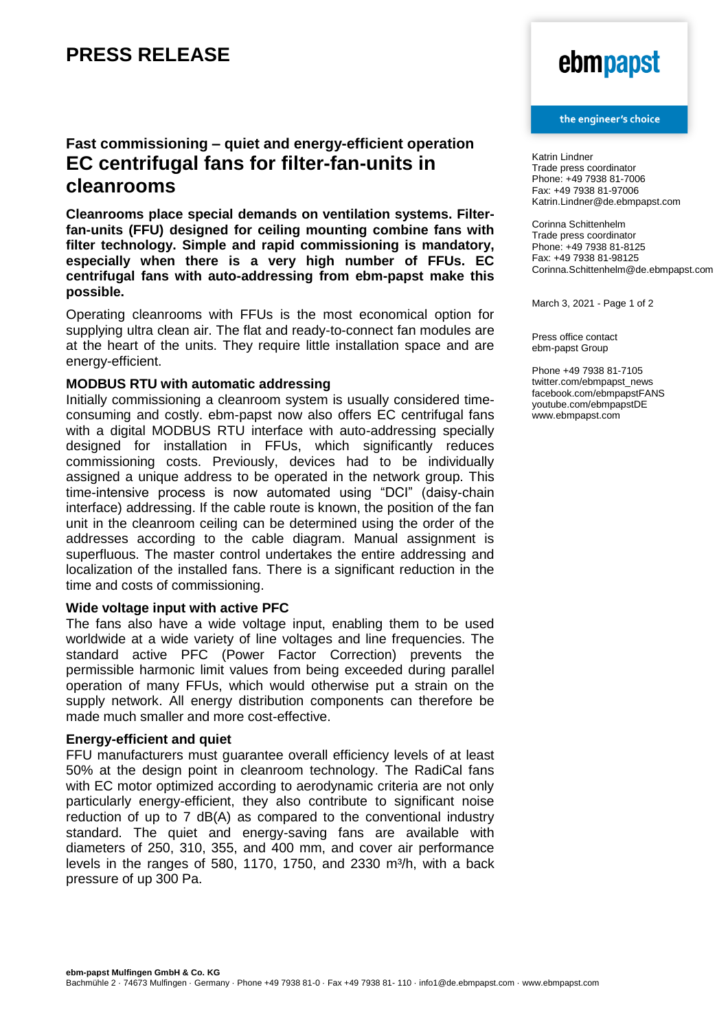## **Fast commissioning – quiet and energy-efficient operation EC centrifugal fans for filter-fan-units in cleanrooms**

**Cleanrooms place special demands on ventilation systems. Filterfan-units (FFU) designed for ceiling mounting combine fans with filter technology. Simple and rapid commissioning is mandatory, especially when there is a very high number of FFUs. EC centrifugal fans with auto-addressing from ebm-papst make this possible.**

Operating cleanrooms with FFUs is the most economical option for supplying ultra clean air. The flat and ready-to-connect fan modules are at the heart of the units. They require little installation space and are energy-efficient.

### **MODBUS RTU with automatic addressing**

Initially commissioning a cleanroom system is usually considered timeconsuming and costly. ebm-papst now also offers EC centrifugal fans with a digital MODBUS RTU interface with auto-addressing specially designed for installation in FFUs, which significantly reduces commissioning costs. Previously, devices had to be individually assigned a unique address to be operated in the network group. This time-intensive process is now automated using "DCI" (daisy-chain interface) addressing. If the cable route is known, the position of the fan unit in the cleanroom ceiling can be determined using the order of the addresses according to the cable diagram. Manual assignment is superfluous. The master control undertakes the entire addressing and localization of the installed fans. There is a significant reduction in the time and costs of commissioning.

### **Wide voltage input with active PFC**

The fans also have a wide voltage input, enabling them to be used worldwide at a wide variety of line voltages and line frequencies. The standard active PFC (Power Factor Correction) prevents the permissible harmonic limit values from being exceeded during parallel operation of many FFUs, which would otherwise put a strain on the supply network. All energy distribution components can therefore be made much smaller and more cost-effective.

### **Energy-efficient and quiet**

FFU manufacturers must guarantee overall efficiency levels of at least 50% at the design point in cleanroom technology. The RadiCal fans with EC motor optimized according to aerodynamic criteria are not only particularly energy-efficient, they also contribute to significant noise reduction of up to 7 dB(A) as compared to the conventional industry standard. The quiet and energy-saving fans are available with diameters of 250, 310, 355, and 400 mm, and cover air performance levels in the ranges of 580, 1170, 1750, and 2330 m $3/h$ , with a back pressure of up 300 Pa.

# ebmpapst

#### the engineer's choice

Katrin Lindner Trade press coordinator Phone: +49 7938 81-7006 Fax: +49 7938 81-97006 Katrin.Lindner@de.ebmpapst.com

Corinna Schittenhelm Trade press coordinator Phone: +49 7938 81-8125 Fax: +49 7938 81-98125 Corinna.Schittenhelm@de.ebmpapst.com

March 3, 2021 - Page 1 of 2

Press office contact ebm-papst Group

Phone +49 7938 81-7105 twitter.com/ebmpapst\_news facebook.com/ebmpapstFANS youtube.com/ebmpapstDE www.ebmpapst.com